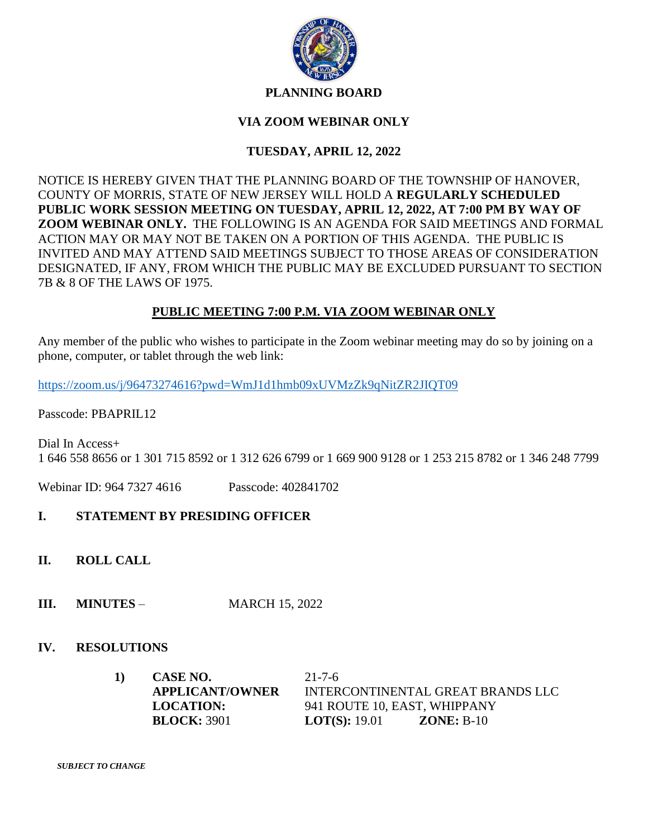

#### **PLANNING BOARD**

### **VIA ZOOM WEBINAR ONLY**

## **TUESDAY, APRIL 12, 2022**

NOTICE IS HEREBY GIVEN THAT THE PLANNING BOARD OF THE TOWNSHIP OF HANOVER, COUNTY OF MORRIS, STATE OF NEW JERSEY WILL HOLD A **REGULARLY SCHEDULED PUBLIC WORK SESSION MEETING ON TUESDAY, APRIL 12, 2022, AT 7:00 PM BY WAY OF ZOOM WEBINAR ONLY.** THE FOLLOWING IS AN AGENDA FOR SAID MEETINGS AND FORMAL ACTION MAY OR MAY NOT BE TAKEN ON A PORTION OF THIS AGENDA. THE PUBLIC IS INVITED AND MAY ATTEND SAID MEETINGS SUBJECT TO THOSE AREAS OF CONSIDERATION DESIGNATED, IF ANY, FROM WHICH THE PUBLIC MAY BE EXCLUDED PURSUANT TO SECTION 7B & 8 OF THE LAWS OF 1975.

### **PUBLIC MEETING 7:00 P.M. VIA ZOOM WEBINAR ONLY**

Any member of the public who wishes to participate in the Zoom webinar meeting may do so by joining on a phone, computer, or tablet through the web link:

<https://zoom.us/j/96473274616?pwd=WmJ1d1hmb09xUVMzZk9qNitZR2JIQT09>

Passcode: PBAPRIL12

Dial In Access+ 1 646 558 8656 or 1 301 715 8592 or 1 312 626 6799 or 1 669 900 9128 or 1 253 215 8782 or 1 346 248 7799

Webinar ID: 964 7327 4616 Passcode: 402841702

### **I. STATEMENT BY PRESIDING OFFICER**

- **II. ROLL CALL**
- **III. MINUTES**  MARCH 15, 2022

### **IV. RESOLUTIONS**

| 1) | CASE NO.               | $21 - 7 - 6$                         |
|----|------------------------|--------------------------------------|
|    | <b>APPLICANT/OWNER</b> | INTERCONTINENTAL GREAT BRANDS LLC    |
|    | <b>LOCATION:</b>       | 941 ROUTE 10, EAST, WHIPPANY         |
|    | <b>BLOCK: 3901</b>     | $ZONE: B-10$<br><b>LOT(S):</b> 19.01 |